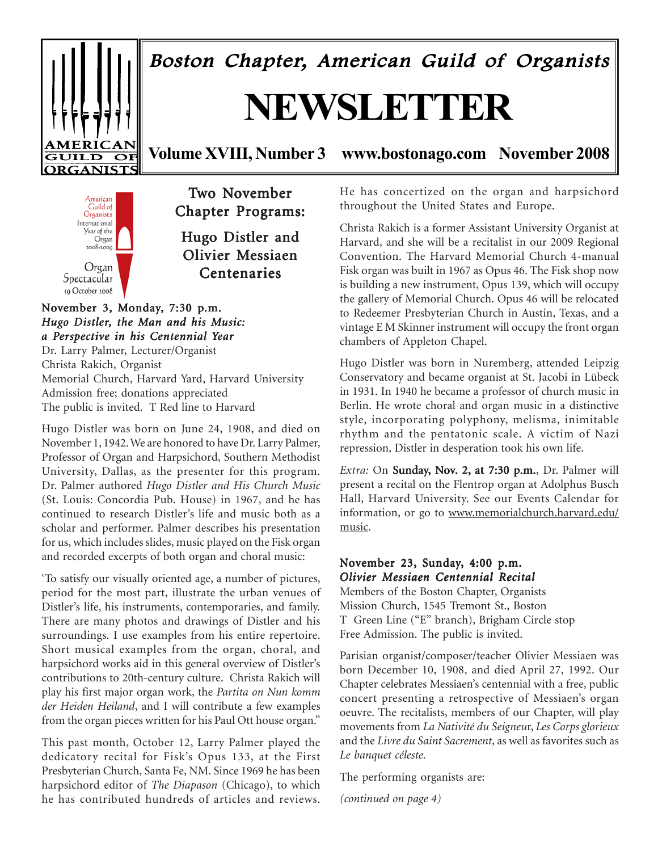## Boston Chapter, American Guild of Organists

# **NEWSLETTER**



**Volume XVIII, Number 3 www.bostonago.com November 2008**



Two November Chapter Programs:

Hugo Distler and Olivier Messiaen **Centenaries** 

November 3, Monday, 7:30 p.m. *Hugo Distler, the Man and his Music: a Perspective in his Centennial Year*

Dr. Larry Palmer, Lecturer/Organist Christa Rakich, Organist Memorial Church, Harvard Yard, Harvard University Admission free; donations appreciated The public is invited. T Red line to Harvard

Hugo Distler was born on June 24, 1908, and died on November 1, 1942. We are honored to have Dr. Larry Palmer, Professor of Organ and Harpsichord, Southern Methodist University, Dallas, as the presenter for this program. Dr. Palmer authored *Hugo Distler and His Church Music* (St. Louis: Concordia Pub. House) in 1967, and he has continued to research Distler's life and music both as a scholar and performer. Palmer describes his presentation for us, which includes slides, music played on the Fisk organ and recorded excerpts of both organ and choral music:

'To satisfy our visually oriented age, a number of pictures, period for the most part, illustrate the urban venues of Distler's life, his instruments, contemporaries, and family. There are many photos and drawings of Distler and his surroundings. I use examples from his entire repertoire. Short musical examples from the organ, choral, and harpsichord works aid in this general overview of Distler's contributions to 20th-century culture. Christa Rakich will play his first major organ work, the *Partita on Nun komm der Heiden Heiland*, and I will contribute a few examples from the organ pieces written for his Paul Ott house organ."

This past month, October 12, Larry Palmer played the dedicatory recital for Fisk's Opus 133, at the First Presbyterian Church, Santa Fe, NM. Since 1969 he has been harpsichord editor of *The Diapason* (Chicago), to which he has contributed hundreds of articles and reviews. He has concertized on the organ and harpsichord throughout the United States and Europe.

Christa Rakich is a former Assistant University Organist at Harvard, and she will be a recitalist in our 2009 Regional Convention. The Harvard Memorial Church 4-manual Fisk organ was built in 1967 as Opus 46. The Fisk shop now is building a new instrument, Opus 139, which will occupy the gallery of Memorial Church. Opus 46 will be relocated to Redeemer Presbyterian Church in Austin, Texas, and a vintage E M Skinner instrument will occupy the front organ chambers of Appleton Chapel.

Hugo Distler was born in Nuremberg, attended Leipzig Conservatory and became organist at St. Jacobi in Lübeck in 1931. In 1940 he became a professor of church music in Berlin. He wrote choral and organ music in a distinctive style, incorporating polyphony, melisma, inimitable rhythm and the pentatonic scale. A victim of Nazi repression, Distler in desperation took his own life.

*Extra:* On **Sunday, Nov. 2, at 7:30 p.m.**, Dr. Palmer will present a recital on the Flentrop organ at Adolphus Busch Hall, Harvard University. See our Events Calendar for information, or go to www.memorialchurch.harvard.edu/ music.

#### November 23, Sunday, 4:00 p.m. *Olivier Messiaen Centennial Recital Centennial Recital*

Members of the Boston Chapter, Organists Mission Church, 1545 Tremont St., Boston T Green Line ("E" branch), Brigham Circle stop Free Admission. The public is invited.

Parisian organist/composer/teacher Olivier Messiaen was born December 10, 1908, and died April 27, 1992. Our Chapter celebrates Messiaen's centennial with a free, public concert presenting a retrospective of Messiaen's organ oeuvre. The recitalists, members of our Chapter, will play movements from *La Nativité du Seigneu*r, *Les Corps glorieux* and the *Livre du Saint Sacrement*, as well as favorites such as *Le banquet céleste*.

The performing organists are:

*(continued on page 4)*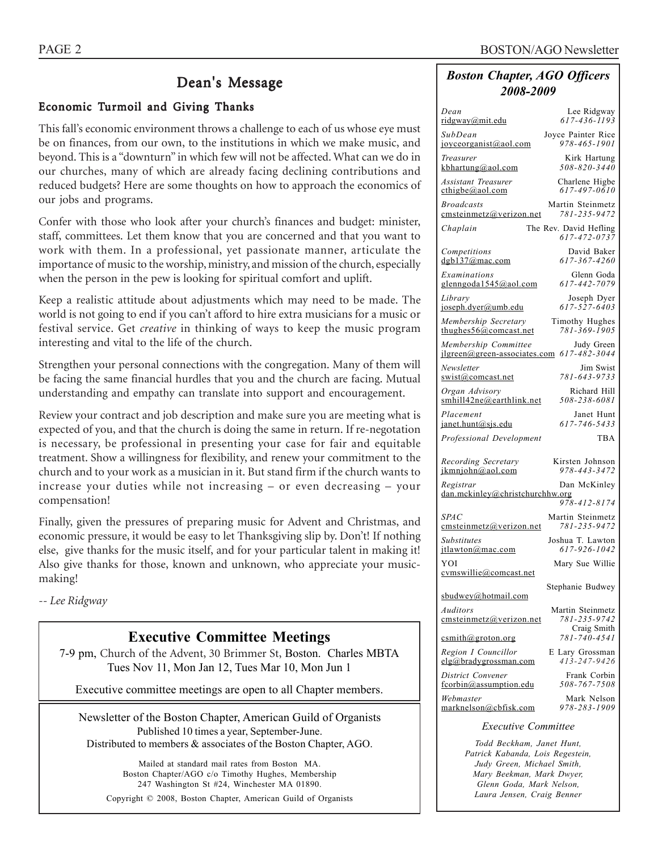### Dean's Message

#### Economic Turmoil and Giving Thanks

This fall's economic environment throws a challenge to each of us whose eye must be on finances, from our own, to the institutions in which we make music, and beyond. This is a "downturn" in which few will not be affected. What can we do in our churches, many of which are already facing declining contributions and reduced budgets? Here are some thoughts on how to approach the economics of our jobs and programs.

Confer with those who look after your church's finances and budget: minister, staff, committees. Let them know that you are concerned and that you want to work with them. In a professional, yet passionate manner, articulate the importance of music to the worship, ministry, and mission of the church, especially when the person in the pew is looking for spiritual comfort and uplift.

Keep a realistic attitude about adjustments which may need to be made. The world is not going to end if you can't afford to hire extra musicians for a music or festival service. Get *creative* in thinking of ways to keep the music program interesting and vital to the life of the church.

Strengthen your personal connections with the congregation. Many of them will be facing the same financial hurdles that you and the church are facing. Mutual understanding and empathy can translate into support and encouragement.

Review your contract and job description and make sure you are meeting what is expected of you, and that the church is doing the same in return. If re-negotation is necessary, be professional in presenting your case for fair and equitable treatment. Show a willingness for flexibility, and renew your commitment to the church and to your work as a musician in it. But stand firm if the church wants to increase your duties while not increasing – or even decreasing – your compensation!

Finally, given the pressures of preparing music for Advent and Christmas, and economic pressure, it would be easy to let Thanksgiving slip by. Don't! If nothing else, give thanks for the music itself, and for your particular talent in making it! Also give thanks for those, known and unknown, who appreciate your musicmaking!

*-- Lee Ridgway*

#### **Executive Committee Meetings**

7-9 pm, Church of the Advent, 30 Brimmer St, Boston. Charles MBTA Tues Nov 11, Mon Jan 12, Tues Mar 10, Mon Jun 1

Executive committee meetings are open to all Chapter members.

Newsletter of the Boston Chapter, American Guild of Organists Published 10 times a year, September-June. Distributed to members & associates of the Boston Chapter, AGO.

Mailed at standard mail rates from Boston MA. Boston Chapter/AGO c/o Timothy Hughes, Membership 247 Washington St #24, Winchester MA 01890. Copyright © 2008, Boston Chapter, American Guild of Organists

#### *Boston Chapter, AGO Officers 2008-2009*

| Dean                                                                         | Lee Ridgway                        |
|------------------------------------------------------------------------------|------------------------------------|
| ridgway@mit.edu                                                              | $617 - 436 - 1193$                 |
| SubDean                                                                      | Joyce Painter Rice                 |
| joyceorganist@aol.com                                                        | 978-465-1901                       |
| Treasurer                                                                    | Kirk Hartung<br>$508 - 820 - 3440$ |
| kbhartung@aol.com                                                            |                                    |
| Assistant Treasurer<br>cthigbe@aol.com                                       | Charlene Higbe<br>617-497-0610     |
| <b>Broadcasts</b>                                                            | Martin Steinmetz                   |
| emsteinmetz@verizon.net                                                      | 781-235-9472                       |
| Chaplain                                                                     | The Rev. David Hefling             |
|                                                                              | 617-472-0737                       |
| Competitions<br>dgb137@mac.com                                               | David Baker<br>617-367-4260        |
| Examinations                                                                 | Glenn Goda                         |
| glenngoda1545@aol.com                                                        | 617-442-7079                       |
| Library                                                                      | Joseph Dyer                        |
| joseph.dyer@umb.edu                                                          | 617-527-6403                       |
| Membership Secretary<br>thughes $56@$ comcast.net                            | Timothy Hughes<br>781-369-1905     |
|                                                                              |                                    |
| Membership Committee Judy Green<br>jlgreen@green-associates.com 617-482-3044 |                                    |
| Newsletter                                                                   | Jim Swist                          |
| swist@comcast.net                                                            | 781-643-9733                       |
| Organ Advisory<br>smhill42ne@earthlink.net                                   | Richard Hill<br>508-238-6081       |
| Placement                                                                    | Janet Hunt                         |
| janet.hunt@sjs.edu                                                           | 617-746-5433                       |
| Professional Development                                                     | TBA                                |
|                                                                              |                                    |
| Recording Secretary<br>ikmniohn@aol.com                                      | Kirsten Johnson<br>978-443-3472    |
| Registrar                                                                    |                                    |
| dan.mckinley@christchurchhw.org                                              | Dan McKinley                       |
|                                                                              | 978-412-8174                       |
|                                                                              |                                    |
| <i>SPAC</i>                                                                  | Martin Steinmetz                   |
| cmsteinmetz@verizon.net                                                      | 781-235-9472                       |
| <b>Substitutes</b><br>itlawton@mac.com                                       | Joshua T. Lawton<br>617-926-1042   |
| YOI                                                                          | Mary Sue Willie                    |
| cymswillie@comcast.net                                                       |                                    |
|                                                                              | Stephanie Budwey                   |
| sbudwey@hotmail.com                                                          |                                    |
| Auditors<br>emsteinmetz@verizon.net                                          | Martin Steinmetz<br>781-235-9742   |
|                                                                              | Craig Smith                        |
| csmith@groton.org                                                            | $781 - 740 - 4541$                 |
| Region I Councillor<br>elg@bradvgrossman.com                                 | E Lary Grossman<br>413-247-9426    |
| District Convener                                                            | Frank Corbin                       |
| fcorbin@assumption.edu                                                       | 508-767-7508                       |
| Webmaster                                                                    | Mark Nelson                        |
| marknelson@cbfisk.com                                                        | 978-283-1909                       |

*Todd Beckham, Janet Hunt, Patrick Kabanda, Lois Regestein, Judy Green, Michael Smith, Mary Beekman, Mark Dwyer, Glenn Goda, Mark Nelson, Laura Jensen, Craig Benner*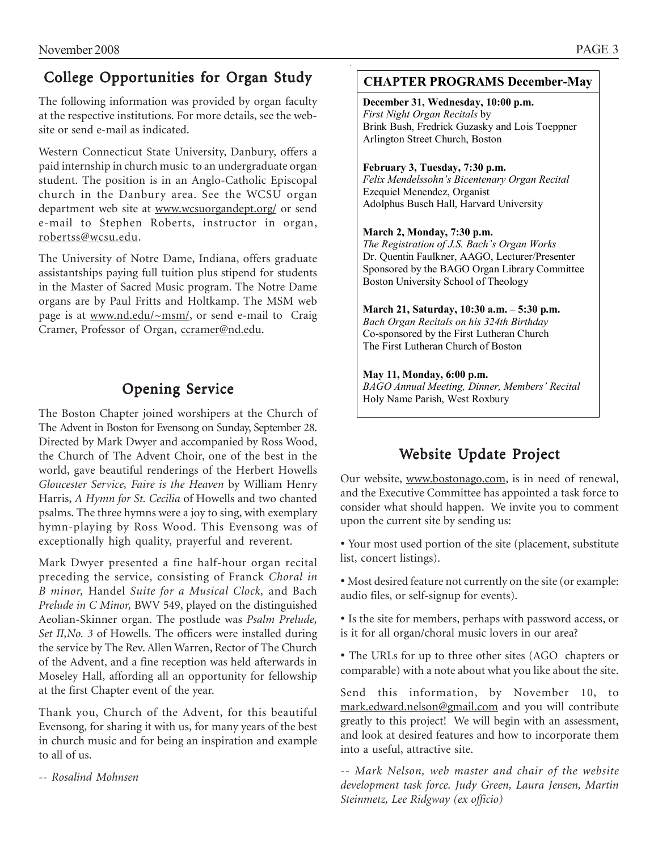## College Opportunities for Organ Study

The following information was provided by organ faculty at the respective institutions. For more details, see the website or send e-mail as indicated.

Western Connecticut State University, Danbury, offers a paid internship in church music to an undergraduate organ student. The position is in an Anglo-Catholic Episcopal church in the Danbury area. See the WCSU organ department web site at www.wcsuorgandept.org/ or send e-mail to Stephen Roberts, instructor in organ, robertss@wcsu.edu.

The University of Notre Dame, Indiana, offers graduate assistantships paying full tuition plus stipend for students in the Master of Sacred Music program. The Notre Dame organs are by Paul Fritts and Holtkamp. The MSM web page is at www.nd.edu/~msm/, or send e-mail to Craig Cramer, Professor of Organ, ccramer@nd.edu.

## Opening Service

The Boston Chapter joined worshipers at the Church of The Advent in Boston for Evensong on Sunday, September 28. Directed by Mark Dwyer and accompanied by Ross Wood, the Church of The Advent Choir, one of the best in the world, gave beautiful renderings of the Herbert Howells *Gloucester Service, Faire is the Heaven* by William Henry Harris, *A Hymn for St. Cecilia* of Howells and two chanted psalms. The three hymns were a joy to sing, with exemplary hymn-playing by Ross Wood. This Evensong was of exceptionally high quality, prayerful and reverent.

Mark Dwyer presented a fine half-hour organ recital preceding the service, consisting of Franck *Choral in B minor,* Handel *Suite for a Musical Clock,* and Bach *Prelude in C Minor,* BWV 549, played on the distinguished Aeolian-Skinner organ. The postlude was *Psalm Prelude, Set II,No. 3* of Howells. The officers were installed during the service by The Rev. Allen Warren, Rector of The Church of the Advent, and a fine reception was held afterwards in Moseley Hall, affording all an opportunity for fellowship at the first Chapter event of the year.

Thank you, Church of the Advent, for this beautiful Evensong, for sharing it with us, for many years of the best in church music and for being an inspiration and example to all of us.

-- *Rosalind Mohnsen*

#### **CHAPTER PROGRAMS December-May**

**December 31, Wednesday, 10:00 p.m.**  *First Night Organ Recitals* by Brink Bush, Fredrick Guzasky and Lois Toeppner Arlington Street Church, Boston

#### **February 3, Tuesday, 7:30 p.m.**

*Felix Mendelssohn's Bicentenary Organ Recital*  Ezequiel Menendez, Organist Adolphus Busch Hall, Harvard University

#### **March 2, Monday, 7:30 p.m.**

*The Registration of J.S. Bach's Organ Works*  Dr. Quentin Faulkner, AAGO, Lecturer/Presenter Sponsored by the BAGO Organ Library Committee Boston University School of Theology

#### **March 21, Saturday, 10:30 a.m. – 5:30 p.m.**

*Bach Organ Recitals on his 324th Birthday*  Co-sponsored by the First Lutheran Church The First Lutheran Church of Boston

#### **May 11, Monday, 6:00 p.m.**

*BAGO Annual Meeting, Dinner, Members' Recital*  Holy Name Parish, West Roxbury

## Website Update Project

Our website, www.bostonago.com, is in need of renewal, and the Executive Committee has appointed a task force to consider what should happen. We invite you to comment upon the current site by sending us:

• Your most used portion of the site (placement, substitute list, concert listings).

• Most desired feature not currently on the site (or example: audio files, or self-signup for events).

• Is the site for members, perhaps with password access, or is it for all organ/choral music lovers in our area?

• The URLs for up to three other sites (AGO chapters or comparable) with a note about what you like about the site.

Send this information, by November 10, to mark.edward.nelson@gmail.com and you will contribute greatly to this project! We will begin with an assessment, and look at desired features and how to incorporate them into a useful, attractive site.

*-- Mark Nelson, web master and chair of the website development task force. Judy Green, Laura Jensen, Martin Steinmetz, Lee Ridgway (ex officio)*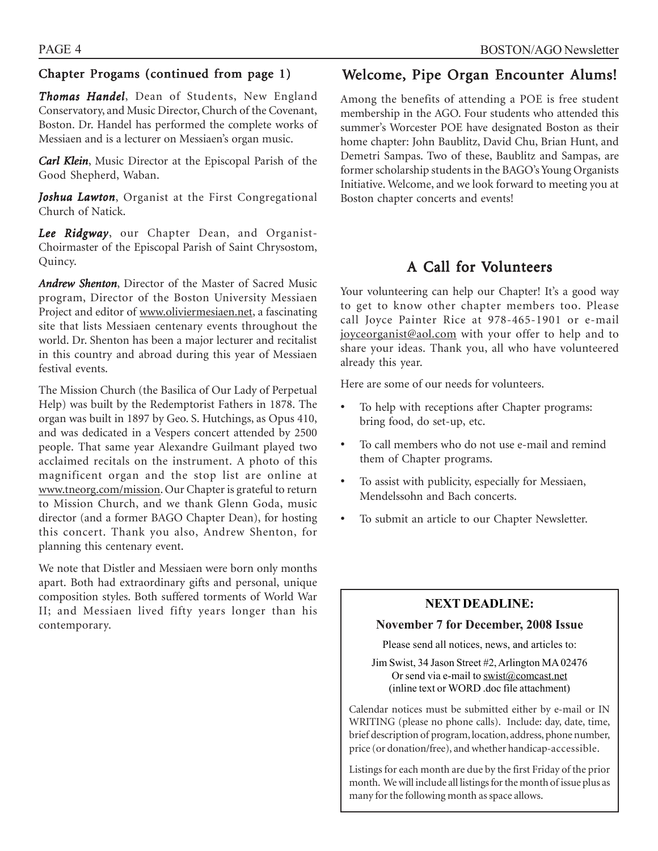### Chapter Progams (continued from page  $1$ )

*Thomas Handel* , Dean of Students, New England Conservatory, and Music Director, Church of the Covenant, Boston. Dr. Handel has performed the complete works of Messiaen and is a lecturer on Messiaen's organ music.

*Carl Klein*, Music Director at the Episcopal Parish of the Good Shepherd, Waban.

*Joshua Lawton*, Organist at the First Congregational Church of Natick.

*Lee Ridgway*, our Chapter Dean, and Organist-Choirmaster of the Episcopal Parish of Saint Chrysostom, Quincy.

*Andrew Shenton*, Director of the Master of Sacred Music program, Director of the Boston University Messiaen Project and editor of www.oliviermesiaen.net, a fascinating site that lists Messiaen centenary events throughout the world. Dr. Shenton has been a major lecturer and recitalist in this country and abroad during this year of Messiaen festival events.

The Mission Church (the Basilica of Our Lady of Perpetual Help) was built by the Redemptorist Fathers in 1878. The organ was built in 1897 by Geo. S. Hutchings, as Opus 410, and was dedicated in a Vespers concert attended by 2500 people. That same year Alexandre Guilmant played two acclaimed recitals on the instrument. A photo of this magnificent organ and the stop list are online at www.tneorg.com/mission. Our Chapter is grateful to return to Mission Church, and we thank Glenn Goda, music director (and a former BAGO Chapter Dean), for hosting this concert. Thank you also, Andrew Shenton, for planning this centenary event.

We note that Distler and Messiaen were born only months apart. Both had extraordinary gifts and personal, unique composition styles. Both suffered torments of World War II; and Messiaen lived fifty years longer than his contemporary.

## Welcome, Pipe Organ Encounter Alums!

Among the benefits of attending a POE is free student membership in the AGO. Four students who attended this summer's Worcester POE have designated Boston as their home chapter: John Baublitz, David Chu, Brian Hunt, and Demetri Sampas. Two of these, Baublitz and Sampas, are former scholarship students in the BAGO's Young Organists Initiative. Welcome, and we look forward to meeting you at Boston chapter concerts and events!

## A Call for Volunteers

Your volunteering can help our Chapter! It's a good way to get to know other chapter members too. Please call Joyce Painter Rice at 978-465-1901 or e-mail joyceorganist@aol.com with your offer to help and to share your ideas. Thank you, all who have volunteered already this year.

Here are some of our needs for volunteers.

- To help with receptions after Chapter programs: bring food, do set-up, etc.
- To call members who do not use e-mail and remind them of Chapter programs.
- To assist with publicity, especially for Messiaen, Mendelssohn and Bach concerts.
- To submit an article to our Chapter Newsletter.

#### **NEXT DEADLINE:**

#### **November 7 for December, 2008 Issue**

Please send all notices, news, and articles to:

Jim Swist, 34 Jason Street #2, Arlington MA 02476 Or send via e-mail to  $\frac{\text{swist}(a) \text{connect}}{\text{constant}}$ (inline text or WORD .doc file attachment)

Calendar notices must be submitted either by e-mail or IN WRITING (please no phone calls). Include: day, date, time, brief description of program, location, address, phone number, price (or donation/free), and whether handicap-accessible.

Listings for each month are due by the first Friday of the prior month. We will include all listings for the month of issue plus as many for the following month as space allows.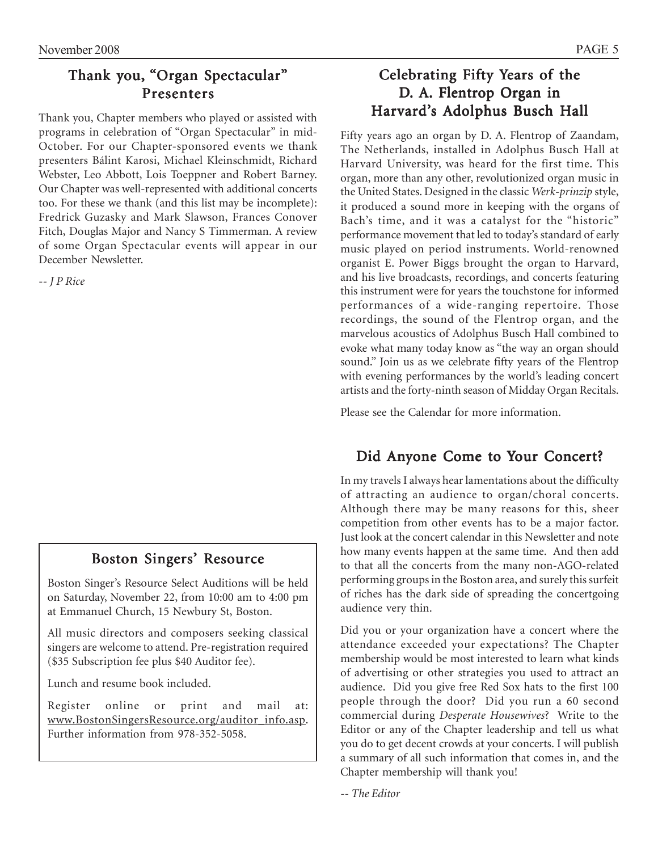## Thank you, "Organ Spectacular" Presenters

Thank you, Chapter members who played or assisted with programs in celebration of "Organ Spectacular" in mid-October. For our Chapter-sponsored events we thank presenters Bálint Karosi, Michael Kleinschmidt, Richard Webster, Leo Abbott, Lois Toeppner and Robert Barney. Our Chapter was well-represented with additional concerts too. For these we thank (and this list may be incomplete): Fredrick Guzasky and Mark Slawson, Frances Conover Fitch, Douglas Major and Nancy S Timmerman. A review of some Organ Spectacular events will appear in our December Newsletter.

-*- J P Rice*

## Boston Singers' Resource

Boston Singer's Resource Select Auditions will be held on Saturday, November 22, from 10:00 am to 4:00 pm at Emmanuel Church, 15 Newbury St, Boston.

All music directors and composers seeking classical singers are welcome to attend. Pre-registration required (\$35 Subscription fee plus \$40 Auditor fee).

Lunch and resume book included.

Register online or print and mail at: www.BostonSingersResource.org/auditor\_info.asp. Further information from 978-352-5058.

## Celebrating Fifty Years of the D. A. Flentrop Organ in Harvard's Adolphus Busch Hall

Fifty years ago an organ by D. A. Flentrop of Zaandam, The Netherlands, installed in Adolphus Busch Hall at Harvard University, was heard for the first time. This organ, more than any other, revolutionized organ music in the United States. Designed in the classic *Werk-prinzip* style, it produced a sound more in keeping with the organs of Bach's time, and it was a catalyst for the "historic" performance movement that led to today's standard of early music played on period instruments. World-renowned organist E. Power Biggs brought the organ to Harvard, and his live broadcasts, recordings, and concerts featuring this instrument were for years the touchstone for informed performances of a wide-ranging repertoire. Those recordings, the sound of the Flentrop organ, and the marvelous acoustics of Adolphus Busch Hall combined to evoke what many today know as "the way an organ should sound." Join us as we celebrate fifty years of the Flentrop with evening performances by the world's leading concert artists and the forty-ninth season of Midday Organ Recitals.

Please see the Calendar for more information.

## Did Anyone Come to Your Concert?

In my travels I always hear lamentations about the difficulty of attracting an audience to organ/choral concerts. Although there may be many reasons for this, sheer competition from other events has to be a major factor. Just look at the concert calendar in this Newsletter and note how many events happen at the same time. And then add to that all the concerts from the many non-AGO-related performing groups in the Boston area, and surely this surfeit of riches has the dark side of spreading the concertgoing audience very thin.

Did you or your organization have a concert where the attendance exceeded your expectations? The Chapter membership would be most interested to learn what kinds of advertising or other strategies you used to attract an audience. Did you give free Red Sox hats to the first 100 people through the door? Did you run a 60 second commercial during *Desperate Housewives*? Write to the Editor or any of the Chapter leadership and tell us what you do to get decent crowds at your concerts. I will publish a summary of all such information that comes in, and the Chapter membership will thank you!

*-- The Editor*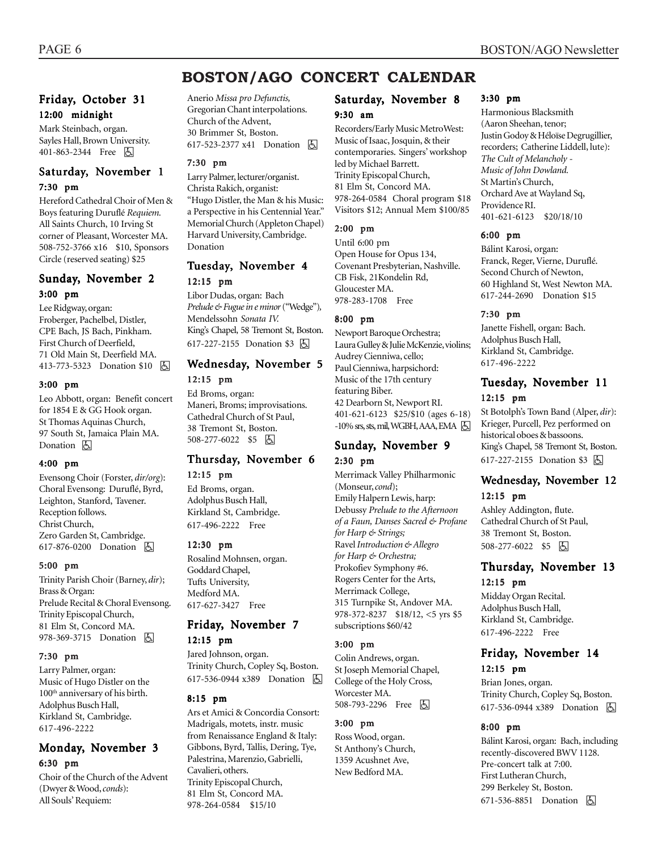## **BOSTON/AGO CONCERT CALENDAR**

#### Friday, October 31 12:00 midnight

Mark Steinbach, organ. Sayles Hall, Brown University. 401-863-2344 Free **b** 

#### Saturday, November 1 7:30 pm

Hereford Cathedral Choir of Men & Boys featuring Duruflé *Requiem.* All Saints Church, 10 Irving St corner of Pleasant, Worcester MA. 508-752-3766 x16 \$10, Sponsors Circle (reserved seating) \$25

#### Sunday, November 2 3:00 pm

Lee Ridgway, organ: Froberger, Pachelbel, Distler, CPE Bach, JS Bach, Pinkham. First Church of Deerfield, 71 Old Main St, Deerfield MA. 413-773-5323 Donation \$10 **b** 

#### 3:00 pm

Leo Abbott, organ: Benefit concert for 1854 E & GG Hook organ. St Thomas Aquinas Church, 97 South St, Jamaica Plain MA. Donation **A** 

#### 4:00 pm

Evensong Choir (Forster, *dir/org*): Choral Evensong: Duruflé, Byrd, Leighton, Stanford, Tavener. Reception follows. Christ Church, Zero Garden St, Cambridge. 617-876-0200 Donation **b** 

#### 5:00 pm

Trinity Parish Choir (Barney, *dir*); Brass & Organ: Prelude Recital & Choral Evensong. Trinity Episcopal Church, 81 Elm St, Concord MA. 978-369-3715 Donation **b** 

#### 7:30 pm

Larry Palmer, organ: Music of Hugo Distler on the 100th anniversary of his birth. Adolphus Busch Hall, Kirkland St, Cambridge. 617-496-2222

#### Monday, November 3 6:30 pm

Choir of the Church of the Advent (Dwyer & Wood, *conds*): All Souls' Requiem:

Anerio *Missa pro Defunctis,* Gregorian Chant interpolations. Church of the Advent, 30 Brimmer St, Boston. 617-523-2377 x41 Donation **b** 

#### 7:30 pm

Larry Palmer, lecturer/organist. Christa Rakich, organist: "Hugo Distler, the Man & his Music: a Perspective in his Centennial Year." Memorial Church (Appleton Chapel) Harvard University, Cambridge. Donation

#### Tuesday, November 4 12:15 pm

Libor Dudas, organ: Bach *Prelude & Fugue in e minor* ("Wedge")*,* Mendelssohn *Sonata IV.* King's Chapel, 58 Tremont St, Boston. 617-227-2155 Donation \$3 因

## Wednesday, November 5

#### 12:15 pm

Ed Broms, organ: Maneri, Broms; improvisations. Cathedral Church of St Paul, 38 Tremont St, Boston. 508-277-6022 \$5 | 4

## Thursday, November 6

#### 12:15 pm

Ed Broms, organ. Adolphus Busch Hall, Kirkland St, Cambridge. 617-496-2222 Free

#### 12:30 pm

Rosalind Mohnsen, organ. Goddard Chapel, Tufts University, Medford MA. 617-627-3427 Free

#### Friday, November 7 12:15 pm

Jared Johnson, organ.

Trinity Church, Copley Sq, Boston. 617-536-0944 x389 Donation **b** 

#### 8:15 pm

Ars et Amici & Concordia Consort: Madrigals, motets, instr. music from Renaissance England & Italy: Gibbons, Byrd, Tallis, Dering, Tye, Palestrina, Marenzio, Gabrielli, Cavalieri, others. Trinity Episcopal Church, 81 Elm St, Concord MA. 978-264-0584 \$15/10

#### Saturday, November 8 9:30 am

Recorders/Early Music MetroWest: Music of Isaac, Josquin, & their contemporaries. Singers' workshop led by Michael Barrett. Trinity Episcopal Church, 81 Elm St, Concord MA. 978-264-0584 Choral program \$18 Visitors \$12; Annual Mem \$100/85

#### 2:00 pm

Until 6:00 pm Open House for Opus 134, Covenant Presbyterian, Nashville. CB Fisk, 21Kondelin Rd, Gloucester MA. 978-283-1708 Free

#### 8:00 pm

Newport Baroque Orchestra; Laura Gulley & Julie McKenzie, violins; Audrey Cienniwa, cello; Paul Cienniwa, harpsichord: Music of the 17th century featuring Biber. 42 Dearborn St, Newport RI. 401-621-6123 \$25/\$10 (ages 6-18)  $-10\%$  srs, sts, mil, WGBH, AAA, EMA  $\boxed{6}$ 

## Sunday, November 9

2:30 pm

Merrimack Valley Philharmonic (Monseur, *cond*); Emily Halpern Lewis, harp: Debussy *Prelude to the Afternoon of a Faun, Danses Sacred & Profane for Harp & Strings;* Ravel *Introduction & Allegro for Harp & Orchestra;* Prokofiev Symphony #6. Rogers Center for the Arts, Merrimack College, 315 Turnpike St, Andover MA. 978-372-8237 \$18/12, <5 yrs \$5 subscriptions \$60/42

#### 3:00 pm

Colin Andrews, organ. St Joseph Memorial Chapel, College of the Holy Cross, Worcester MA. 508-793-2296 Free 因

#### 3:00 pm

Ross Wood, organ. St Anthony's Church, 1359 Acushnet Ave, New Bedford MA.

#### 3:30 pm

Harmonious Blacksmith (Aaron Sheehan, tenor; Justin Godoy & Héloïse Degrugillier, recorders; Catherine Liddell, lute): *The Cult of Melancholy - Music of John Dowland.* St Martin's Church, Orchard Ave at Wayland Sq, Providence RI. 401-621-6123 \$20/18/10

#### 6:00 pm

Bálint Karosi, organ: Franck, Reger, Vierne, Duruflé. Second Church of Newton, 60 Highland St, West Newton MA. 617-244-2690 Donation \$15

#### 7:30 pm

Janette Fishell, organ: Bach. Adolphus Busch Hall, Kirkland St, Cambridge. 617-496-2222

#### Tuesday, November 11 12:15 pm

St Botolph's Town Band (Alper, *dir*): Krieger, Purcell, Pez performed on historical oboes & bassoons. King's Chapel, 58 Tremont St, Boston. 617-227-2155 Donation \$3 因

#### Wednesday, November 12 12:15 pm

Ashley Addington, flute. Cathedral Church of St Paul, 38 Tremont St, Boston. 508-277-6022 \$5 | +

#### Thursday, November 13 12:15 pm

Midday Organ Recital. Adolphus Busch Hall, Kirkland St, Cambridge. 617-496-2222 Free

#### Friday, November 14 12:15 pm

Brian Jones, organ. Trinity Church, Copley Sq, Boston. 617-536-0944 x389 Donation h

#### 8:00 pm

Bálint Karosi, organ: Bach, including recently-discovered BWV 1128. Pre-concert talk at 7:00. First Lutheran Church, 299 Berkeley St, Boston. 671-536-8851 Donation **b**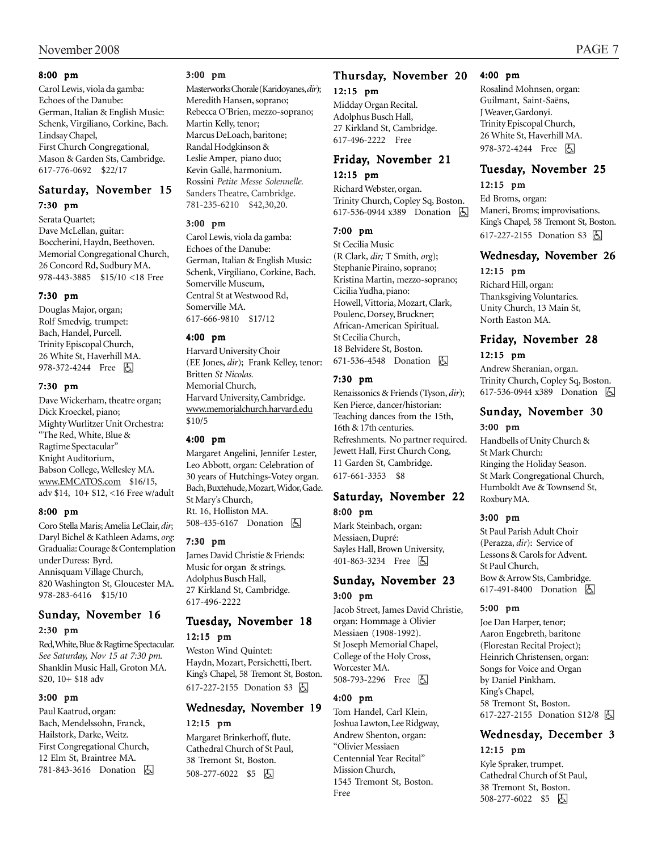#### 8:00 pm

Carol Lewis, viola da gamba: Echoes of the Danube: German, Italian & English Music: Schenk, Virgiliano, Corkine, Bach. Lindsay Chapel, First Church Congregational, Mason & Garden Sts, Cambridge. 617-776-0692 \$22/17

#### Saturday, November 15 7:30 pm

Serata Quartet; Dave McLellan, guitar: Boccherini, Haydn, Beethoven. Memorial Congregational Church, 26 Concord Rd, Sudbury MA. 978-443-3885 \$15/10 <18 Free

#### 7:30 pm

Douglas Major, organ; Rolf Smedvig, trumpet: Bach, Handel, Purcell. Trinity Episcopal Church, 26 White St, Haverhill MA. 978-372-4244 Free 因

#### 7:30 pm

Dave Wickerham, theatre organ; Dick Kroeckel, piano; Mighty Wurlitzer Unit Orchestra: "The Red, White, Blue & Ragtime Spectacular" Knight Auditorium, Babson College, Wellesley MA. www.EMCATOS.com \$16/15, adv \$14, 10+ \$12, <16 Free w/adult

#### 8:00 pm

Coro Stella Maris; Amelia LeClair, *dir*; Daryl Bichel & Kathleen Adams, *org*: Gradualia: Courage & Contemplation under Duress: Byrd. Annisquam Village Church, 820 Washington St, Gloucester MA. 978-283-6416 \$15/10

#### Sunday, November 16 2:30 pm

Red, White, Blue & Ragtime Spectacular. *See Saturday, Nov 15 at 7:30 pm.* Shanklin Music Hall, Groton MA. \$20, 10+ \$18 adv

#### 3:00 pm

Paul Kaatrud, organ: Bach, Mendelssohn, Franck, Hailstork, Darke, Weitz. First Congregational Church, 12 Elm St, Braintree MA. 781-843-3616 Donation h

#### 3:00 pm

Masterworks Chorale (Karidoyanes, *dir*); Meredith Hansen, soprano; Rebecca O'Brien, mezzo-soprano; Martin Kelly, tenor; Marcus DeLoach, baritone; Randal Hodgkinson & Leslie Amper, piano duo; Kevin Gallé, harmonium. Rossini *Petite Messe Solennelle.* Sanders Theatre, Cambridge. 781-235-6210 \$42,30,20.

#### 3:00 pm

Carol Lewis, viola da gamba: Echoes of the Danube: German, Italian & English Music: Schenk, Virgiliano, Corkine, Bach. Somerville Museum, Central St at Westwood Rd, Somerville MA. 617-666-9810 \$17/12

#### 4:00 pm

Harvard University Choir (EE Jones, *dir*); Frank Kelley, tenor: Britten *St Nicolas.* Memorial Church, Harvard University, Cambridge. www.memorialchurch.harvard.edu \$10/5

#### 4:00 pm

Margaret Angelini, Jennifer Lester, Leo Abbott, organ: Celebration of 30 years of Hutchings-Votey organ. Bach, Buxtehude, Mozart, Widor, Gade. St Mary's Church, Rt. 16, Holliston MA. 508-435-6167 Donation **b** 

#### 7:30 pm

James David Christie & Friends: Music for organ & strings. Adolphus Busch Hall, 27 Kirkland St, Cambridge. 617-496-2222

#### Tuesday, November 18 12:15 pm

Weston Wind Quintet: Haydn, Mozart, Persichetti, Ibert. King's Chapel, 58 Tremont St, Boston. 617-227-2155 Donation \$3 因

#### Wednesday, November 19 12:15 pm

Margaret Brinkerhoff, flute. Cathedral Church of St Paul, 38 Tremont St, Boston. 508-277-6022 \$5 | +

#### Thursday, November 20 12:15 pm

Midday Organ Recital. Adolphus Busch Hall, 27 Kirkland St, Cambridge. 617-496-2222 Free

#### Friday, November 21 12:15 pm

Richard Webster, organ. Trinity Church, Copley Sq, Boston. 617-536-0944 x389 Donation h

#### 7:00 pm

St Cecilia Music (R Clark, *dir;* T Smith, *org*); Stephanie Piraino, soprano; Kristina Martin, mezzo-soprano; Cicilia Yudha, piano: Howell, Vittoria, Mozart, Clark, Poulenc, Dorsey, Bruckner; African-American Spiritual. St Cecilia Church, 18 Belvidere St, Boston. 671-536-4548 Donation  $\Box$ 

#### 7:30 pm

Renaissonics & Friends (Tyson, *dir*); Ken Pierce, dancer/historian: Teaching dances from the 15th, 16th & 17th centuries. Refreshments. No partner required. Jewett Hall, First Church Cong, 11 Garden St, Cambridge. 617-661-3353 \$8

#### Saturday, November 22 8:00 pm

Mark Steinbach, organ: Messiaen, Dupré: Sayles Hall, Brown University, 401-863-3234 Free **b** 

#### Sunday, November 23 3:00 pm

Jacob Street, James David Christie, organ: Hommage à Olivier Messiaen (1908-1992). St Joseph Memorial Chapel, College of the Holy Cross, Worcester MA. 508-793-2296 Free **b** 

#### 4:00 pm

Tom Handel, Carl Klein, Joshua Lawton, Lee Ridgway, Andrew Shenton, organ: "Olivier Messiaen Centennial Year Recital" Mission Church, 1545 Tremont St, Boston. Free

#### 4:00 pm

Rosalind Mohnsen, organ: Guilmant, Saint-Saëns, J Weaver, Gardonyi. Trinity Episcopal Church, 26 White St, Haverhill MA. 978-372-4244 Free 因

### Tuesday, November 25

#### 12:15 pm

Ed Broms, organ: Maneri, Broms; improvisations. King's Chapel, 58 Tremont St, Boston. 617-227-2155 Donation \$3 因

## Wednesday, November 26

#### 12:15 pm

Richard Hill, organ: Thanksgiving Voluntaries. Unity Church, 13 Main St, North Easton MA.

#### Friday, November 28 12:15 pm

Andrew Sheranian, organ. Trinity Church, Copley Sq, Boston. 617-536-0944 x389 Donation 因

#### Sunday, November 30 3:00 pm

Handbells of Unity Church & St Mark Church: Ringing the Holiday Season. St Mark Congregational Church, Humboldt Ave & Townsend St, Roxbury MA.

#### 3:00 pm

St Paul Parish Adult Choir (Perazza, *dir*): Service of Lessons & Carols for Advent. St Paul Church, Bow & Arrow Sts, Cambridge. 617-491-8400 Donation **b** 

#### 5:00 pm

Joe Dan Harper, tenor; Aaron Engebreth, baritone (Florestan Recital Project); Heinrich Christensen, organ: Songs for Voice and Organ by Daniel Pinkham. King's Chapel, 58 Tremont St, Boston. 617-227-2155 Donation \$12/8 h

#### Wednesday, December 3 12:15 pm

Kyle Spraker, trumpet. Cathedral Church of St Paul, 38 Tremont St, Boston. 508-277-6022 \$5 6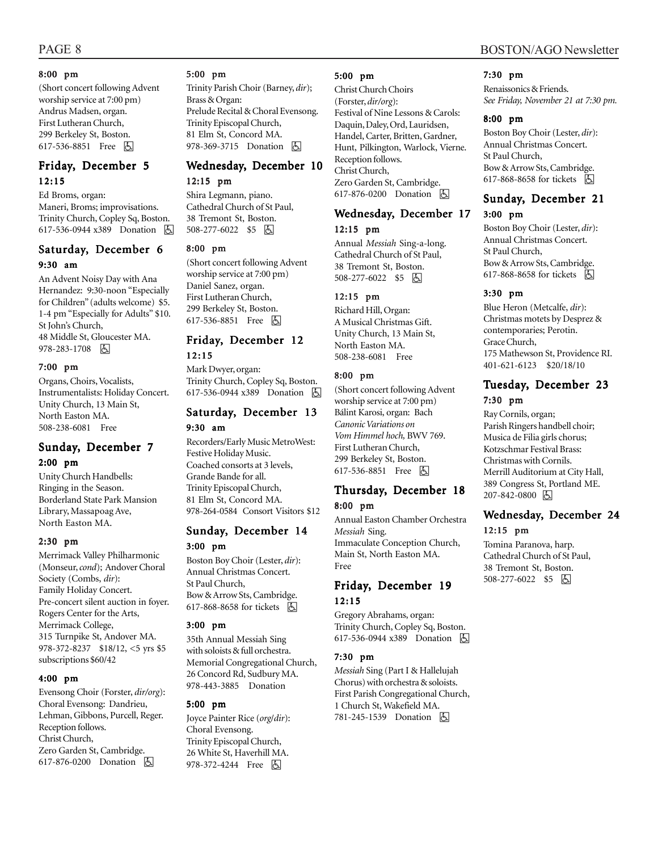#### 8:00 pm

(Short concert following Advent worship service at 7:00 pm) Andrus Madsen, organ. First Lutheran Church, 299 Berkeley St, Boston. 617-536-8851 Free 因

#### Friday, December 5 12:15

Ed Broms, organ: Maneri, Broms; improvisations. Trinity Church, Copley Sq, Boston. 617-536-0944 x389 Donation 因

## Saturday, December 6

#### 9:30 am

An Advent Noisy Day with Ana Hernandez: 9:30-noon "Especially for Children" (adults welcome) \$5. 1-4 pm "Especially for Adults" \$10. St John's Church, 48 Middle St, Gloucester MA. 978-283-1708 因

#### 7:00 pm

Organs, Choirs, Vocalists, Instrumentalists: Holiday Concert. Unity Church, 13 Main St, North Easton MA. 508-238-6081 Free

#### Sunday, December 7 2:00 pm

Unity Church Handbells: Ringing in the Season. Borderland State Park Mansion Library, Massapoag Ave, North Easton MA.

#### 2:30 pm

Merrimack Valley Philharmonic (Monseur, *cond*); Andover Choral Society (Combs, *dir*): Family Holiday Concert. Pre-concert silent auction in foyer. Rogers Center for the Arts, Merrimack College, 315 Turnpike St, Andover MA. 978-372-8237 \$18/12, <5 yrs \$5 subscriptions \$60/42

#### 4:00 pm

Evensong Choir (Forster, *dir/org*): Choral Evensong: Dandrieu, Lehman, Gibbons, Purcell, Reger. Reception follows. Christ Church, Zero Garden St, Cambridge. 617-876-0200 Donation **b** 

#### 5:00 pm

Trinity Parish Choir (Barney, *dir*); Brass & Organ: Prelude Recital & Choral Evensong. Trinity Episcopal Church, 81 Elm St, Concord MA. 978-369-3715 Donation A

## Wednesday, December 10

#### 12:15 pm

Shira Legmann, piano. Cathedral Church of St Paul, 38 Tremont St, Boston. 508-277-6022 \$5 | 5

#### 8:00 pm

(Short concert following Advent worship service at 7:00 pm) Daniel Sanez, organ. First Lutheran Church, 299 Berkeley St, Boston. 617-536-8851 Free 因

#### Friday, December 12 12:15

Mark Dwyer, organ: Trinity Church, Copley Sq, Boston. 617-536-0944 x389 Donation **b** 

#### Saturday, December 13 9:30 am

Recorders/Early Music MetroWest: Festive Holiday Music. Coached consorts at 3 levels, Grande Bande for all. Trinity Episcopal Church, 81 Elm St, Concord MA. 978-264-0584 Consort Visitors \$12

#### Sunday, December 14 3:00 pm

Boston Boy Choir (Lester, *dir*): Annual Christmas Concert. St Paul Church, Bow & Arrow Sts, Cambridge.

617-868-8658 for tickets **b** 

#### 3:00 pm

35th Annual Messiah Sing with soloists & full orchestra. Memorial Congregational Church, 26 Concord Rd, Sudbury MA. 978-443-3885 Donation

#### 5:00 pm

Joyce Painter Rice (*org*/*dir*): Choral Evensong. Trinity Episcopal Church, 26 White St, Haverhill MA. 978-372-4244 Free 因

#### 5:00 pm

Christ Church Choirs (Forster, *dir/org*): Festival of Nine Lessons & Carols: Daquin, Daley, Ord, Lauridsen, Handel, Carter, Britten, Gardner, Hunt, Pilkington, Warlock, Vierne. Reception follows. Christ Church, Zero Garden St, Cambridge. 617-876-0200 Donation **b** 

#### Wednesday, December 17 12:15 pm

Annual *Messiah* Sing-a-long. Cathedral Church of St Paul, 38 Tremont St, Boston. 508-277-6022 \$5 | +

#### 12:15 pm

Richard Hill, Organ: A Musical Christmas Gift. Unity Church, 13 Main St, North Easton MA. 508-238-6081 Free

#### 8:00 pm

(Short concert following Advent worship service at 7:00 pm) Bálint Karosi, organ: Bach *Canonic Variations on Vom Himmel hoch,* BWV 769. First Lutheran Church, 299 Berkeley St, Boston. 617-536-8851 Free **b** 

#### Thursday, December 18 8:00 pm

Annual Easton Chamber Orchestra *Messiah* Sing. Immaculate Conception Church, Main St, North Easton MA. Free

#### Friday, December 19 12:15

Gregory Abrahams, organ: Trinity Church, Copley Sq, Boston. 617-536-0944 x389 Donation **b** 

#### 7:30 pm

*Messiah* Sing (Part I & Hallelujah Chorus) with orchestra & soloists. First Parish Congregational Church, 1 Church St, Wakefield MA. 781-245-1539 Donation **b** 

## 7:30 pm

Renaissonics & Friends. *See Friday, November 21 at 7:30 pm.*

#### 8:00 pm

Boston Boy Choir (Lester, *dir*): Annual Christmas Concert. St Paul Church, Bow & Arrow Sts, Cambridge. 617-868-8658 for tickets h

#### Sunday, December 21

#### 3:00 pm

Boston Boy Choir (Lester, *dir*): Annual Christmas Concert. St Paul Church, Bow & Arrow Sts, Cambridge. 617-868-8658 for tickets  $\Box$ 

#### 3:30 pm

Blue Heron (Metcalfe, *dir*): Christmas motets by Desprez & contemporaries; Perotin. Grace Church, 175 Mathewson St, Providence RI. 401-621-6123 \$20/18/10

#### Tuesday, December 23 7:30 pm

Ray Cornils, organ; Parish Ringers handbell choir; Musica de Filia girls chorus; Kotzschmar Festival Brass: Christmas with Cornils. Merrill Auditorium at City Hall, 389 Congress St, Portland ME. 207-842-0800 6

#### Wednesday, December 24 12:15 pm

Tomina Paranova, harp. Cathedral Church of St Paul, 38 Tremont St, Boston. 508-277-6022 \$5 6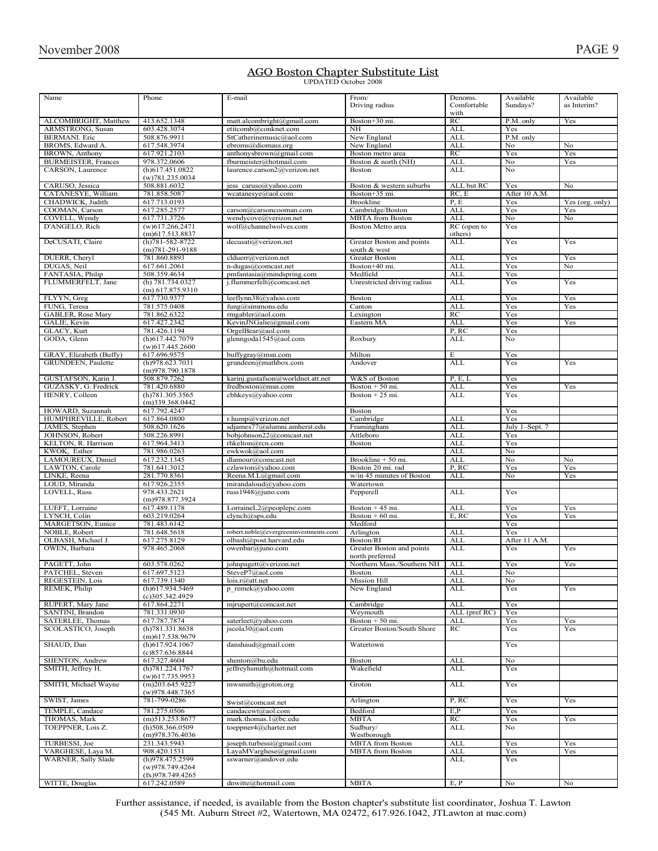## **AGO Boston Chapter Substitute List**<br>UPDATED October 2008

| Name                       |                                  |                                       |                             |               |                |                 |
|----------------------------|----------------------------------|---------------------------------------|-----------------------------|---------------|----------------|-----------------|
|                            | Phone                            | E-mail                                | From/                       | Denoms.       | Available      | Available       |
|                            |                                  |                                       | Driving radius              | Comfortable   | Sundays?       | as Interim?     |
|                            |                                  |                                       |                             | with          |                |                 |
| ALCOMBRIGHT, Matthew       | 413.652.1348                     | matt.alcombright@gmail.com            | Boston+30 mi.               | RC            | P.M. only      | Yes             |
| ARMSTRONG, Susan           | 603.428.3074                     | etitcomb@conknet.com                  | NH                          | <b>ALL</b>    | Yes            |                 |
|                            |                                  |                                       |                             |               |                |                 |
| <b>BERMANI</b> . Eric      | 508.876.9911                     | StCatherinemusic@aol.com              | New England                 | <b>ALL</b>    | P.M. only      |                 |
| BROMS, Edward A.           | 617.548.3974                     | ebroms@diomass.org                    | New England                 | <b>ALL</b>    | No             | No              |
| BROWN, Anthony             | 617.921.2103                     | anthonysbrown@gmail.com               | Boston metro area           | RC            | Yes            | Yes             |
| <b>BURMEISTER, Frances</b> | 978.372.0606                     | fburmeister@hotmail.com               | Boston & north (NH)         | <b>ALL</b>    | No             | Yes             |
|                            |                                  |                                       |                             |               |                |                 |
| CARSON, Laurence           | (h)617.451.0822                  | laurence.carson2@verizon.net          | Boston                      | ALL           | N <sub>o</sub> |                 |
|                            | (w)781.235.0034                  |                                       |                             |               |                |                 |
| CARUSO, Jessica            | 508.881.6032                     | jess caruso@yahoo.com                 | Boston & western suburbs    | ALL but RC    | Yes            | No              |
|                            |                                  |                                       |                             |               |                |                 |
| CATANESYE, William         | 781.858.5087                     | wcatanesye@aol.com                    | Boston+35 mi.               | RC, E         | After 10 A.M.  |                 |
| CHADWICK, Judith           | 617.713.0193                     |                                       | <b>Brookline</b>            | P.E           | Yes            | Yes (org. only) |
| COOMAN, Carson             | 617.285.2577                     | carson@carsoncooman.com               | Cambridge/Boston            | <b>ALL</b>    | Yes            | Yes             |
| COVELL, Wendy              | 617.731.3726                     | wendycove@verizon.net                 | <b>MBTA</b> from Boston     | ALL           | No             | No              |
|                            |                                  |                                       |                             |               |                |                 |
| D'ANGELO, Rich             | $(w)$ 617.266.2471               | wolf@channelwolves.com                | Boston Metro area           | RC (open to   | Yes            |                 |
|                            | $(m)$ 617.513.8837               |                                       |                             | others)       |                |                 |
| DeCUSATI, Claire           | $(h)781 - 582 - 8722$            | decusati@verizon.net                  | Greater Boston and points   | ALL           | Yes            | Yes             |
|                            | $(m)781-291-9188$                |                                       | south & west                |               |                |                 |
|                            |                                  |                                       | <b>Greater Boston</b>       |               | Yes            |                 |
| DUERR, Cheryl              | 781.860.8893                     | clduerr@verizon.net                   |                             | <b>ALL</b>    |                | Yes             |
| DUGAS, Neil                | 617.661.2061                     | n-dugas@comcast.net                   | Boston+40 mi.               | <b>ALL</b>    | Yes            | No              |
| FANTASIA, Philip           | 508.359.4634                     | pmfantasia@mindspring.com             | Medfield                    | <b>ALL</b>    | Yes            |                 |
| FLUMMERFELT, Jane          | (h) 781.734.0327                 | j.flummerfelt@comcast.net             | Unrestricted driving radius | <b>ALL</b>    | Yes            | Yes             |
|                            |                                  |                                       |                             |               |                |                 |
|                            | $(m)$ 617.875.9310               |                                       |                             |               |                |                 |
| FLYYN, Greg                | 617.730.9377                     | leeflynn38@yahoo.com                  | Boston                      | ALL           | Yes            | Yes             |
| FUNG, Teresa               | 781.575.0408                     | fung@simmons.edu                      | Canton                      | <b>ALL</b>    | Yes            | Yes             |
| GABLER, Rose Mary          | 781.862.6322                     | rmgabler@aol.com                      | Lexington                   | RC            | Yes            |                 |
|                            |                                  |                                       |                             |               |                |                 |
| GALIE, Kevin               | 617.427.2342                     | KevinJNGalie@gmail.com                | Eastern MA                  | <b>ALL</b>    | Yes            | Yes             |
| GLACY, Kurt                | 781.426.1194                     | OrgelBear@aol.com                     |                             | P, RC         | Yes            |                 |
| GODA, Glenn                | (h)617.442.7079                  | glenngoda1545@aol.com                 | Roxbury                     | <b>ALL</b>    | No             |                 |
|                            |                                  |                                       |                             |               |                |                 |
|                            | $(w)$ 617.445.2600               |                                       |                             |               |                |                 |
| GRAY, Elizabeth (Buffy)    | 617.696.9575                     | buffygray@msn.com                     | Milton                      | E             | Yes            |                 |
| GRUNDEEN, Paulette         | (h)978.623.7031                  | grundeen@mathbox.com                  | Andover                     | ALL           | Yes            | Yes             |
|                            | (m)978.790.1878                  |                                       |                             |               |                |                 |
|                            |                                  |                                       |                             |               |                |                 |
| GUSTAFSON, Karin J.        | 508.879.7262                     | karinj.gustafson@worldnet.att.net     | W&S of Boston               | P, E, L       | Yes            |                 |
| GUZASKY, G. Fredrick       | 781.420.6880                     | fredboston@msn.com                    | Boston $+50$ mi.            | ALL           | Yes            | Yes             |
| HENRY, Colleen             | (h)781.305.3565                  | cbhkeys@yahoo.com                     | Boston $+25$ mi.            | <b>ALL</b>    | Yes            |                 |
|                            |                                  |                                       |                             |               |                |                 |
|                            | $(m)$ 339.368.0442               |                                       |                             |               |                |                 |
| HOWARD, Suzannah           | 617.792.4247                     |                                       | <b>Boston</b>               |               | Yes            |                 |
| HUMPHREVILLE, Robert       | 617.864.0800                     | r.hump@verizon.net                    | Cambridge                   | <b>ALL</b>    | Yes            |                 |
| JAMES, Stephen             | 508.620.1626                     | sdjames77@alumni.amherst.edu          | Framingham                  | <b>ALL</b>    | July 1-Sept. 7 |                 |
|                            |                                  |                                       |                             |               |                |                 |
| JOHNSON, Robert            | 508.226.8991                     | bobjohnson22@comcast.net              | Attleboro                   | <b>ALL</b>    | Yes            |                 |
| KELTON, R. Harrison        | 617.964.3413                     | rhkelton@rcn.com                      | Boston                      | <b>ALL</b>    | Yes            |                 |
| KWOK, Esther               | 781.986.0263                     | ewkwok@aol.com                        |                             | <b>ALL</b>    | No             |                 |
|                            |                                  |                                       |                             |               |                |                 |
| LAMOUREUX, Daniel          | 617.232.1345                     | dlamour@comcast.net                   | Brookline + 50 mi.          | <b>ALL</b>    | No             | No              |
| LAWTON, Carole             | 781.641.3012                     | czlawton@yahoo.com                    | Boston 20 mi. rad           | P, RC         | Yes            | Yes             |
| LINKE, Reena               | 281.770.8361                     | Reena.M.L@gmail.com                   | w/in 45 minutes of Boston   | <b>ALL</b>    | No             | Yes             |
|                            |                                  |                                       |                             |               |                |                 |
| LOUD, Miranda              | 617.926.2355                     | mirandaloud@yahoo.com                 | Watertown                   |               |                |                 |
| LOVELL, Russ               | 978.433.2621                     | russ1948@juno.com                     | Pepperell                   | <b>ALL</b>    | Yes            |                 |
|                            | (m)978.877.3924                  |                                       |                             |               |                |                 |
| LUEFT, Lorraine            |                                  |                                       |                             | <b>ALL</b>    | Yes            |                 |
|                            |                                  |                                       |                             |               |                |                 |
|                            | 617.489.1178                     | LorraineL2@peoplepc.com               | Boston $+45$ mi.            |               |                | Yes             |
| LYNCH, Colin               | 603.219.0264                     | clynch@sps.edu                        | Boston $+60$ mi.            | E, RC         | Yes            | Yes             |
| MARGETSON, Eunice          |                                  |                                       |                             |               |                |                 |
|                            | 781.483.6142                     |                                       | Medford                     |               | Yes            |                 |
| NOBLE, Robert              | 781.648.5618                     | robert.noble@evergreeninvestments.com | Arlington                   | <b>ALL</b>    | Yes            |                 |
| OLBASH, Michael J.         | 617.275.8129                     | olbash@post.harvard.edu               | Boston/RI                   | <b>ALL</b>    | After 11 A.M.  |                 |
| OWEN, Barbara              | 978.465.2068                     | owenbar@juno.com                      | Greater Boston and points   | <b>ALL</b>    | Yes            | Yes             |
|                            |                                  |                                       |                             |               |                |                 |
|                            |                                  |                                       | north preferred             |               |                |                 |
| PAGETT, John               | 603.578.0262                     | johnpagett@verizon.net                | Northern Mass./Southern NH  | <b>ALL</b>    | Yes            | Yes             |
| PATCHEL, Steven            | 617.697.5123                     | SteveP7@aol.com                       | Boston                      | <b>ALI</b>    | No             |                 |
| REGESTEIN, Lois            | 617.739.1340                     | lois.r@att.net                        | Mission Hill                | ALL           | No             |                 |
|                            |                                  |                                       |                             |               |                |                 |
| REMEK, Philip              | (h)617.934.5469                  | p remek@yahoo.com                     | New England                 | <b>ALL</b>    | Yes            | Yes             |
|                            | $(c)$ 305.342.4929               |                                       |                             |               |                |                 |
| RUPERT, Mary Jane          | 617.864.2271                     | mjrupert@comcast.net                  | Cambridge                   | <b>ALL</b>    | Yes            |                 |
| SANTINI, Brandon           | 781.331.0930                     |                                       | Weymouth                    | ALL (pref RC) | Yes            |                 |
|                            |                                  | saterleet@yahoo.com                   |                             |               |                |                 |
| SATERLEE, Thomas           | 617.787.7874                     |                                       | Boston + 50 mi.             | ALL           | Yes            | Yes             |
| SCOLASTICO, Joseph         | (h)781.331.8638                  | jscola30@aol.com                      | Greater Boston/South Shore  | RC            | Yes            | Yes             |
|                            | (m)617.538.9679                  |                                       |                             |               |                |                 |
| SHAUD, Dan                 | $(h)$ 617.924.1067               | danshaud@gmail.com                    | Watertown                   |               | Yes            |                 |
|                            |                                  |                                       |                             |               |                |                 |
|                            | (c)857.636.8844                  |                                       |                             |               |                |                 |
| SHENTON, Andrew            | 617.327.4604                     | shenton@bu.edu                        | <b>Boston</b>               | <b>ALL</b>    | No             |                 |
| SMITH, Jeffrey H.          | (h) 781.224.1767                 | jeffreyhsmith@hotmail.com             | Wakefield                   | ALL           | Yes            |                 |
|                            | $(w)$ 617.735.9953               |                                       |                             |               |                |                 |
|                            |                                  |                                       |                             |               |                |                 |
| SMITH, Michael Wayne       | $(m)$ 203.645.9227               | mwsmith@groton.org                    | Groton                      | ALL           | Yes            |                 |
|                            | (w)978.448.7365                  |                                       |                             |               |                |                 |
| SWIST, James               | 781-799-0286                     |                                       | Arlington                   | P, RC         | Yes            | Yes             |
|                            |                                  | Swist@comcast.net                     |                             |               |                |                 |
| TEMPLE, Candace            | 781.275.0506                     | candacewt@aol.com                     | Bedford                     | E, P          | Yes            |                 |
| THOMAS, Mark               | $(m)$ 513.253.8677               | mark.thomas.1@bc.edu                  | <b>MBTA</b>                 | RC            | Yes            | Yes             |
| TOEPPNER, Lois Z.          | $(h)$ 508.366.0509               |                                       | Sudbury/                    | ALL           | No             |                 |
|                            |                                  | toeppner4@charter.net                 |                             |               |                |                 |
|                            | (m)978.376.4036                  |                                       | Westborough                 |               |                |                 |
| TURBESSI, Joe              | 231.343.5943                     | joseph.turbessi@gmail.com             | <b>MBTA</b> from Boston     | ALL           | Yes            | Yes             |
| VARGHESE, Laya M.          | 908.420.1531                     | LayaMVarghese@gmail.com               | <b>MBTA</b> from Boston     | <b>ALL</b>    | Yes            | Yes             |
|                            |                                  |                                       |                             |               |                |                 |
| WARNER, Sally Slade        | (h)978.475.2599                  | sswarner@andover.edu                  |                             | ALL           | Yes            |                 |
|                            | (w)978.749.4264                  |                                       |                             |               |                |                 |
| WITTE, Douglas             | (fx)978.749.4265<br>617.242.0589 | dnwitte@hotmail.com                   | <b>MBTA</b>                 | E, P          | No             | No              |

Further assistance, if needed, is available from the Boston chapter's substitute list coordinator, Joshua T. Lawton  $(545 \text{ Mt}$ , Auburn Street #2, Watertown, MA  $02472, 617, 926, 1042$ , JTL awton at mac.com)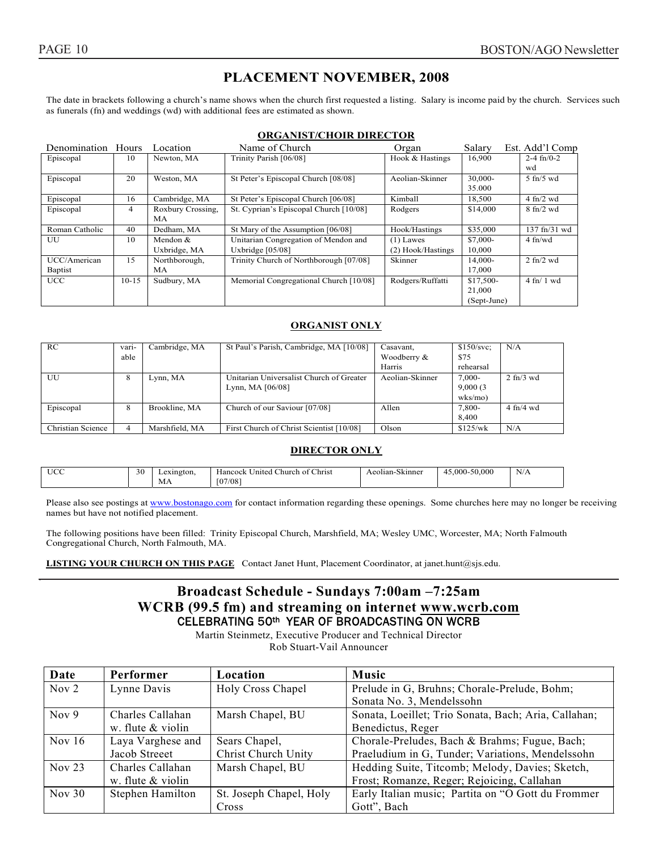#### **PLACEMENT NOVEMBER, 2008**

The date in brackets following a church's name shows when the church first requested a listing. Salary is income paid by the church. Services such as funerals (fn) and weddings (wd) with additional fees are estimated as shown.

#### **ORGANIST/CHOIR DIRECTOR**

| Denomination   | Hours   | Location          | Name of Church                         | Organ             | Salary      | Est. Add'l Comp                  |
|----------------|---------|-------------------|----------------------------------------|-------------------|-------------|----------------------------------|
| Episcopal      | 10      | Newton, MA        | Trinity Parish [06/08]                 | Hook & Hastings   | 16,900      | $2-4$ fn/0-2                     |
|                |         |                   |                                        |                   |             | wd                               |
| Episcopal      | 20      | Weston, MA        | St Peter's Episcopal Church [08/08]    | Aeolian-Skinner   | 30,000-     | $5$ fn/ $5$ wd                   |
|                |         |                   |                                        |                   | 35.000      |                                  |
| Episcopal      | 16      | Cambridge, MA     | St Peter's Episcopal Church [06/08]    | Kimball           | 18,500      | $4 \text{ fn}/2 \text{ wd}$      |
| Episcopal      | 4       | Roxbury Crossing, | St. Cyprian's Episcopal Church [10/08] | Rodgers           | \$14,000    | $8 \text{ fn}/2 \text{ wd}$      |
|                |         | МA                |                                        |                   |             |                                  |
| Roman Catholic | 40      | Dedham, MA        | St Mary of the Assumption [06/08]      | Hook/Hastings     | \$35,000    | $137 \text{ ft} / 31 \text{ wd}$ |
| UU             | 10      | Mendon &          | Unitarian Congregation of Mendon and   | $(1)$ Lawes       | \$7,000-    | $4 \text{ ft/wd}$                |
|                |         | Uxbridge, MA      | Uxbridge $[05/08]$                     | (2) Hook/Hastings | 10,000      |                                  |
| UCC/American   | 15      | Northborough,     | Trinity Church of Northborough [07/08] | Skinner           | 14,000-     | $2 \text{ fn}/2 \text{ wd}$      |
| <b>Baptist</b> |         | МA                |                                        |                   | 17,000      |                                  |
| <b>UCC</b>     | $10-15$ | Sudbury, MA       | Memorial Congregational Church [10/08] | Rodgers/Ruffatti  | $$17,500-$  | $4$ fn/ 1 wd                     |
|                |         |                   |                                        |                   | 21,000      |                                  |
|                |         |                   |                                        |                   | (Sept-June) |                                  |

#### **ORGANIST ONLY**

| RC                | vari-<br>able | Cambridge, MA  | St Paul's Parish, Cambridge, MA [10/08]                        | Casavant,<br>Woodberry &<br>Harris | \$150/svc<br>\$75<br>rehearsal     | N/A                         |
|-------------------|---------------|----------------|----------------------------------------------------------------|------------------------------------|------------------------------------|-----------------------------|
| UU                | 8             | Lynn, MA       | Unitarian Universalist Church of Greater<br>Lynn, MA $[06/08]$ | Aeolian-Skinner                    | $7.000 -$<br>9,000(3)<br>$w$ ks/mo | $2 \text{ fn}/3 \text{ wd}$ |
| Episcopal         | 8             | Brookline, MA  | Church of our Saviour [07/08]                                  | Allen                              | 7,800-<br>8.400                    | $4 \text{ ft}/4 \text{ wd}$ |
| Christian Science | 4             | Marshfield, MA | First Church of Christ Scientist [10/08]                       | Olson                              | \$125/wk                           | N/A                         |

#### **DIRECTOR ONLY**

| <b>UCC</b> | 30 | Lexington. | $\epsilon$ Christ<br>$\mathbf{r}$<br>-<br>. Church of <b><i>'</i></b><br>Hancock United | $-1$<br>Aeolian-Skinner | 45.000-50.000<br>45 | N/A |
|------------|----|------------|-----------------------------------------------------------------------------------------|-------------------------|---------------------|-----|
|            |    | МA         | [07/08]                                                                                 |                         |                     |     |

Please also see postings at www.bostonago.com for contact information regarding these openings. Some churches here may no longer be receiving names but have not notified placement.

The following positions have been filled: Trinity Episcopal Church, Marshfield, MA; Wesley UMC, Worcester, MA; North Falmouth Congregational Church, North Falmouth, MA.

**LISTING YOUR CHURCH ON THIS PAGE** Contact Janet Hunt, Placement Coordinator, at janet.hunt@sjs.edu.

#### **Broadcast Schedule - Sundays 7:00am –7:25am WCRB (99.5 fm) and streaming on internet www.wcrb.com** CELEBRATING 50th YEAR OF BROADCASTING ON WCRB

Martin Steinmetz, Executive Producer and Technical Director Rob Stuart-Vail Announcer

| Date             | Performer           | Location                | Music                                                |
|------------------|---------------------|-------------------------|------------------------------------------------------|
| Nov <sub>2</sub> | Lynne Davis         | Holy Cross Chapel       | Prelude in G, Bruhns; Chorale-Prelude, Bohm;         |
|                  |                     |                         | Sonata No. 3, Mendelssohn                            |
| Nov $9$          | Charles Callahan    | Marsh Chapel, BU        | Sonata, Loeillet; Trio Sonata, Bach; Aria, Callahan; |
|                  | w. flute $&$ violin |                         | Benedictus, Reger                                    |
| Nov $16$         | Laya Varghese and   | Sears Chapel,           | Chorale-Preludes, Bach & Brahms; Fugue, Bach;        |
|                  | Jacob Streeet       | Christ Church Unity     | Praeludium in G, Tunder; Variations, Mendelssohn     |
| Nov $23$         | Charles Callahan    | Marsh Chapel, BU        | Hedding Suite, Titcomb; Melody, Davies; Sketch,      |
|                  | w. flute $&$ violin |                         | Frost; Romanze, Reger; Rejoicing, Callahan           |
| Nov $30$         | Stephen Hamilton    | St. Joseph Chapel, Holy | Early Italian music; Partita on "O Gott du Frommer   |
|                  |                     | Cross                   | Gott", Bach                                          |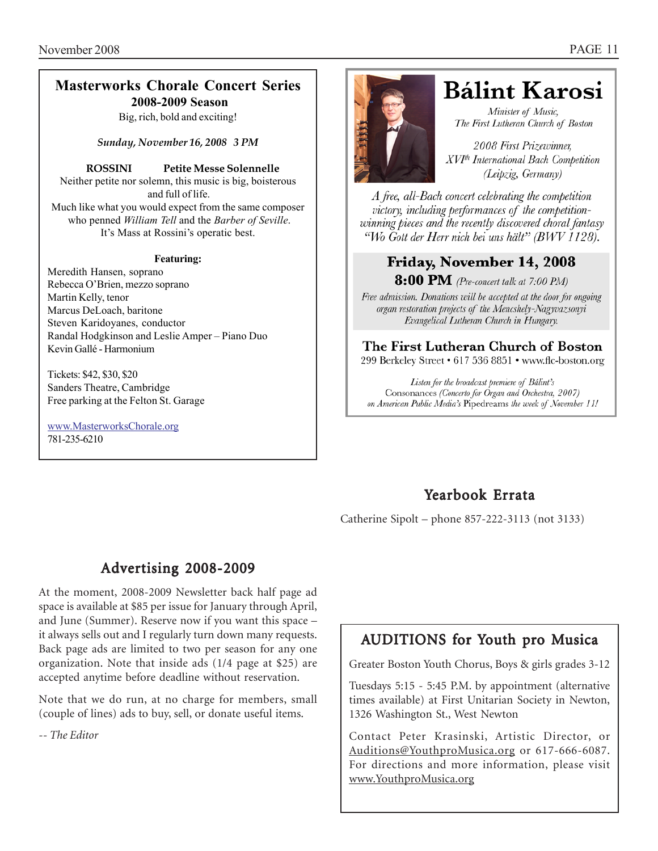#### **Masterworks Chorale Concert Series 2008-2009 Season**

Big, rich, bold and exciting!

*Sunday, November 16, 2008 3 PM*

#### **ROSSINI Petite Messe Solennelle**

Neither petite nor solemn, this music is big, boisterous and full of life. Much like what you would expect from the same composer who penned *William Tell* and the *Barber of Seville*. It's Mass at Rossini's operatic best.

#### **Featuring:**

Meredith Hansen, soprano Rebecca O'Brien, mezzo soprano Martin Kelly, tenor Marcus DeLoach, baritone Steven Karidoyanes, conductor Randal Hodgkinson and Leslie Amper – Piano Duo Kevin Gallé - Harmonium

Tickets: \$42, \$30, \$20 Sanders Theatre, Cambridge Free parking at the Felton St. Garage

www.MasterworksChorale.org 781-235-6210



## **Bálint Karosi**

Minister of Music. The First Lutheran Church of Boston

2008 First Prizewinner. XVI<sup>th</sup> International Bach Competition (Leipzig, Germany)

A free, all-Bach concert celebrating the competition victory, including performances of the competitionwinning pieces and the recently discovered choral fantasy "Wo Gott der Herr nich bei uns hält" (BWV 1128).

## Friday, November 14, 2008

**8:00 PM** (Pre-concert talk at 7:00 PM)

Free admission. Donations will be accepted at the door for ongoing organ restoration projects of the Mencshely-Nagyvazsonyi Evangelical Lutheran Church in Hungary.

The First Lutheran Church of Boston 299 Berkeley Street • 617 536 8851 • www.flc-boston.org

Listen for the broadcast premiere of Bálint's Consonances (Concerto for Organ and Orchestra, 2007) on American Public Media's Pipedreams the week of November 11!

## Yearbook Errata

Catherine Sipolt – phone 857-222-3113 (not 3133)

## Advertising 2008-2009

At the moment, 2008-2009 Newsletter back half page ad space is available at \$85 per issue for January through April, and June (Summer). Reserve now if you want this space – it always sells out and I regularly turn down many requests. Back page ads are limited to two per season for any one organization. Note that inside ads (1/4 page at \$25) are accepted anytime before deadline without reservation.

Note that we do run, at no charge for members, small (couple of lines) ads to buy, sell, or donate useful items.

*-- The Editor*

## AUDITIONS for Youth pro Musica

Greater Boston Youth Chorus, Boys & girls grades 3-12

Tuesdays 5:15 - 5:45 P.M. by appointment (alternative times available) at First Unitarian Society in Newton, 1326 Washington St., West Newton

Contact Peter Krasinski, Artistic Director, or Auditions@YouthproMusica.org or 617-666-6087. For directions and more information, please visit www.YouthproMusica.org